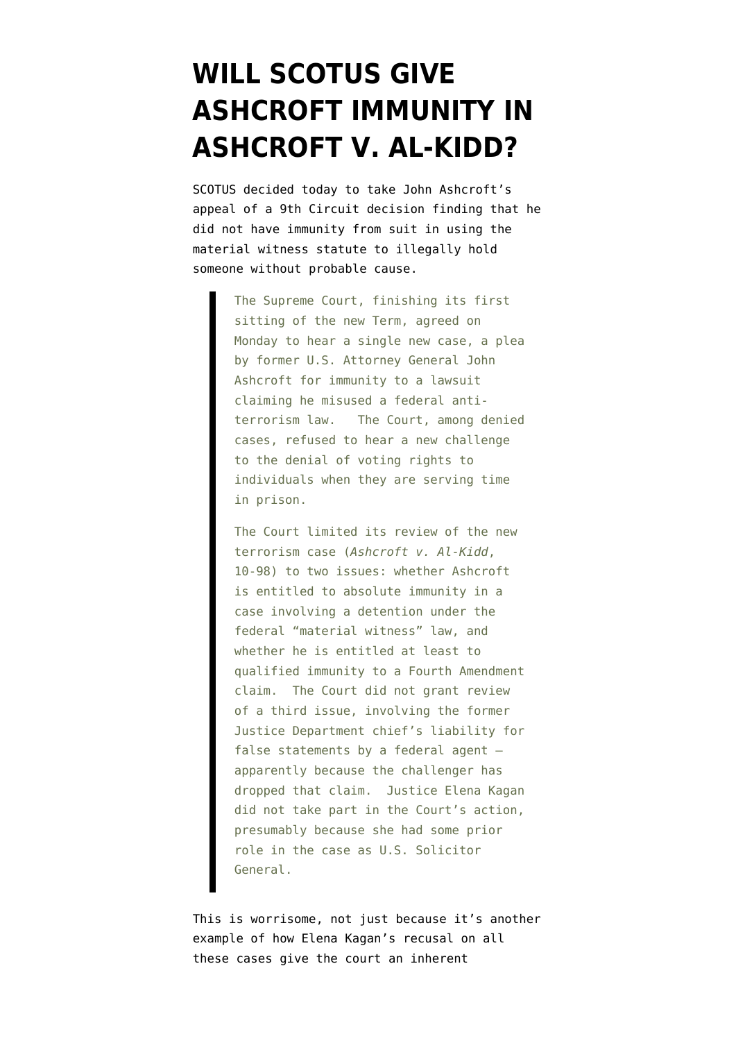## **[WILL SCOTUS GIVE](https://www.emptywheel.net/2010/10/18/will-scotus-give-ashcroft-immunity-in-ashcroft-v-al-kidd/) [ASHCROFT IMMUNITY IN](https://www.emptywheel.net/2010/10/18/will-scotus-give-ashcroft-immunity-in-ashcroft-v-al-kidd/) [ASHCROFT V. AL-KIDD?](https://www.emptywheel.net/2010/10/18/will-scotus-give-ashcroft-immunity-in-ashcroft-v-al-kidd/)**

SCOTUS [decided today](http://www.scotusblog.com/2010/10/ashcroft-case-granted/) to take John Ashcroft's appeal of a 9th Circuit decision finding that he did not have immunity from suit in using the material witness statute to illegally hold someone without probable cause.

> The Supreme Court, finishing its first sitting of the new Term, agreed on Monday to hear a single new case, a plea by former U.S. Attorney General John Ashcroft for immunity to a lawsuit claiming he misused a federal antiterrorism law. The Court, among denied cases, refused to hear a new challenge to the denial of voting rights to individuals when they are serving time in prison.

> The Court limited its review of the new terrorism case (*Ashcroft v. Al-Kidd*, 10-98) to two issues: whether Ashcroft is entitled to absolute immunity in a case involving a detention under the federal "material witness" law, and whether he is entitled at least to qualified immunity to a Fourth Amendment claim. The Court did not grant review of a third issue, involving the former Justice Department chief's liability for false statements by a federal agent apparently because the challenger has dropped that claim. Justice Elena Kagan did not take part in the Court's action, presumably because she had some prior role in the case as U.S. Solicitor General.

This is worrisome, not just because it's another example of how Elena Kagan's recusal on all these cases give the court an inherent